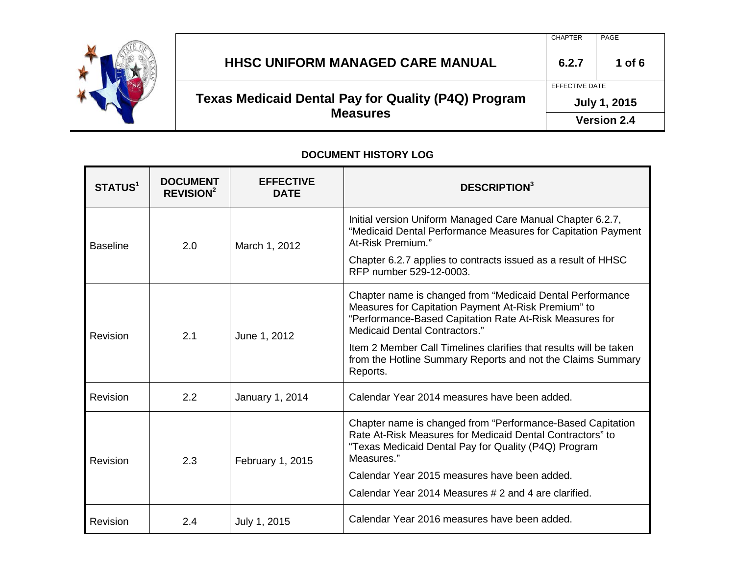

### CHAPTER | PAGE **HHSC UNIFORM MANAGED CARE MANUAL 6.2.7 1 of 6 Texas Medicaid Dental Pay for Quality (P4Q) Program Measures** EFFECTIVE DATE **July 1, 2015**

**Version 2.4**

#### **DOCUMENT HISTORY LOG**

| <b>STATUS<sup>1</sup></b> | <b>DOCUMENT</b><br><b>REVISION<sup>2</sup></b> | <b>EFFECTIVE</b><br><b>DATE</b> | <b>DESCRIPTION</b> <sup>3</sup>                                                                                                                                                                                     |
|---------------------------|------------------------------------------------|---------------------------------|---------------------------------------------------------------------------------------------------------------------------------------------------------------------------------------------------------------------|
| <b>Baseline</b>           | 2.0                                            | March 1, 2012                   | Initial version Uniform Managed Care Manual Chapter 6.2.7,<br>"Medicaid Dental Performance Measures for Capitation Payment<br>At-Risk Premium."                                                                     |
|                           |                                                |                                 | Chapter 6.2.7 applies to contracts issued as a result of HHSC<br>RFP number 529-12-0003.                                                                                                                            |
| Revision                  | 2.1                                            | June 1, 2012                    | Chapter name is changed from "Medicaid Dental Performance<br>Measures for Capitation Payment At-Risk Premium" to<br>"Performance-Based Capitation Rate At-Risk Measures for<br><b>Medicaid Dental Contractors."</b> |
|                           |                                                |                                 | Item 2 Member Call Timelines clarifies that results will be taken<br>from the Hotline Summary Reports and not the Claims Summary<br>Reports.                                                                        |
| Revision                  | 2.2                                            | January 1, 2014                 | Calendar Year 2014 measures have been added.                                                                                                                                                                        |
| Revision                  | 2.3                                            | February 1, 2015                | Chapter name is changed from "Performance-Based Capitation"<br>Rate At-Risk Measures for Medicaid Dental Contractors" to<br>"Texas Medicaid Dental Pay for Quality (P4Q) Program<br>Measures."                      |
|                           |                                                |                                 | Calendar Year 2015 measures have been added.                                                                                                                                                                        |
|                           |                                                |                                 | Calendar Year 2014 Measures # 2 and 4 are clarified.                                                                                                                                                                |
| Revision                  | 2.4                                            | July 1, 2015                    | Calendar Year 2016 measures have been added.                                                                                                                                                                        |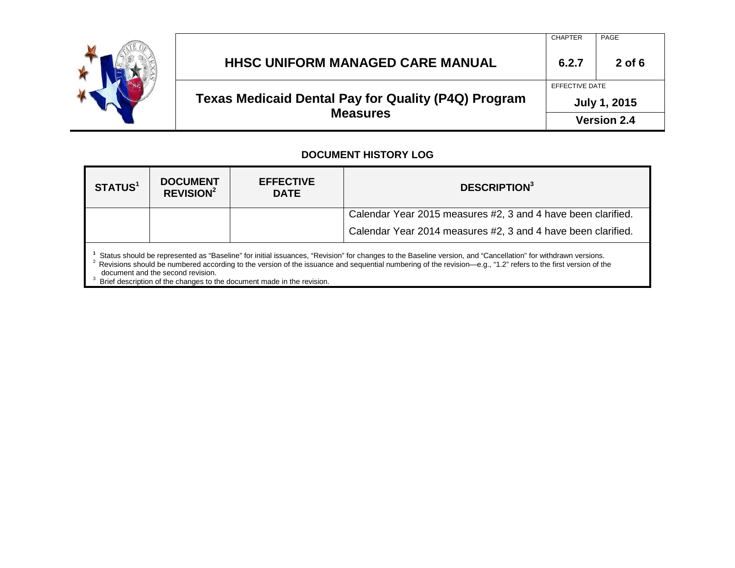

#### CHAPTER | PAGE **HHSC UNIFORM MANAGED CARE MANUAL 6.2.7 2 of 6 Texas Medicaid Dental Pay for Quality (P4Q) Program Measures** EFFECTIVE DATE **July 1, 2015 Version 2.4**

#### **DOCUMENT HISTORY LOG**

| <b>STATUS1</b>                                                                                                                                                                                                                                                                                                                                                                                                                                                           | <b>DOCUMENT</b><br><b>REVISION<sup>2</sup></b> | <b>EFFECTIVE</b><br><b>DATE</b> | <b>DESCRIPTION</b> <sup>3</sup>                              |
|--------------------------------------------------------------------------------------------------------------------------------------------------------------------------------------------------------------------------------------------------------------------------------------------------------------------------------------------------------------------------------------------------------------------------------------------------------------------------|------------------------------------------------|---------------------------------|--------------------------------------------------------------|
|                                                                                                                                                                                                                                                                                                                                                                                                                                                                          |                                                |                                 | Calendar Year 2015 measures #2, 3 and 4 have been clarified. |
|                                                                                                                                                                                                                                                                                                                                                                                                                                                                          |                                                |                                 | Calendar Year 2014 measures #2, 3 and 4 have been clarified. |
| Status should be represented as "Baseline" for initial issuances, "Revision" for changes to the Baseline version, and "Cancellation" for withdrawn versions.<br><sup>2</sup> Revisions should be numbered according to the version of the issuance and sequential numbering of the revision—e.g., "1.2" refers to the first version of the<br>document and the second revision.<br>$3\overline{2}$ Rrief description of the changes to the document made in the revision |                                                |                                 |                                                              |

Brief description of the changes to the document made in the revision.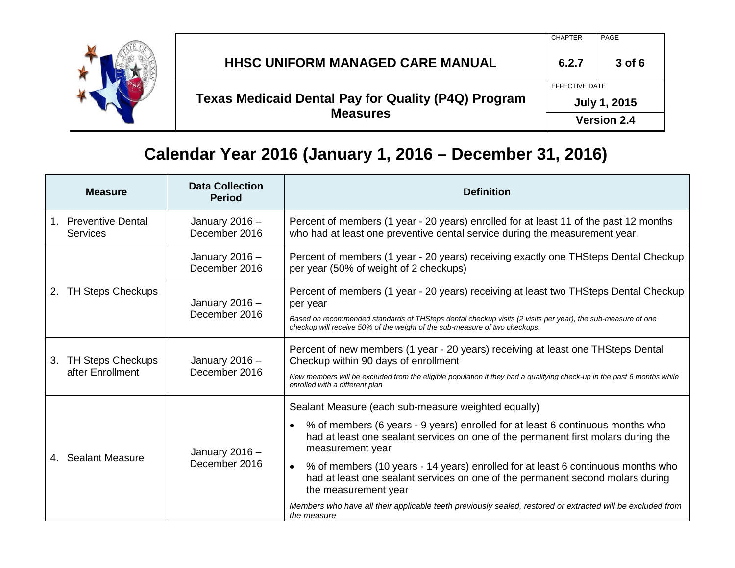

#### CHAPTER PAGE **HHSC UNIFORM MANAGED CARE MANUAL 6.2.7 3 of 6 Texas Medicaid Dental Pay for Quality (P4Q) Program Measures** EFFECTIVE DATE **July 1, 2015 Version 2.4**

## **Calendar Year 2016 (January 1, 2016 – December 31, 2016)**

|    | <b>Measure</b>                           | <b>Data Collection</b><br><b>Period</b> | <b>Definition</b>                                                                                                                                                                                                                                                                                                                                                                                                                                                                                                                                                                      |
|----|------------------------------------------|-----------------------------------------|----------------------------------------------------------------------------------------------------------------------------------------------------------------------------------------------------------------------------------------------------------------------------------------------------------------------------------------------------------------------------------------------------------------------------------------------------------------------------------------------------------------------------------------------------------------------------------------|
|    | 1. Preventive Dental<br>Services         | January 2016 -<br>December 2016         | Percent of members (1 year - 20 years) enrolled for at least 11 of the past 12 months<br>who had at least one preventive dental service during the measurement year.                                                                                                                                                                                                                                                                                                                                                                                                                   |
| 2. | <b>TH Steps Checkups</b>                 | January $2016 -$<br>December 2016       | Percent of members (1 year - 20 years) receiving exactly one THSteps Dental Checkup<br>per year (50% of weight of 2 checkups)                                                                                                                                                                                                                                                                                                                                                                                                                                                          |
|    |                                          | January $2016 -$<br>December 2016       | Percent of members (1 year - 20 years) receiving at least two THSteps Dental Checkup<br>per year<br>Based on recommended standards of THSteps dental checkup visits (2 visits per year), the sub-measure of one<br>checkup will receive 50% of the weight of the sub-measure of two checkups.                                                                                                                                                                                                                                                                                          |
|    | 3. TH Steps Checkups<br>after Enrollment | January $2016 -$<br>December 2016       | Percent of new members (1 year - 20 years) receiving at least one THSteps Dental<br>Checkup within 90 days of enrollment<br>New members will be excluded from the eligible population if they had a qualifying check-up in the past 6 months while<br>enrolled with a different plan                                                                                                                                                                                                                                                                                                   |
|    | 4. Sealant Measure                       | January 2016 -<br>December 2016         | Sealant Measure (each sub-measure weighted equally)<br>% of members (6 years - 9 years) enrolled for at least 6 continuous months who<br>had at least one sealant services on one of the permanent first molars during the<br>measurement year<br>% of members (10 years - 14 years) enrolled for at least 6 continuous months who<br>$\bullet$<br>had at least one sealant services on one of the permanent second molars during<br>the measurement year<br>Members who have all their applicable teeth previously sealed, restored or extracted will be excluded from<br>the measure |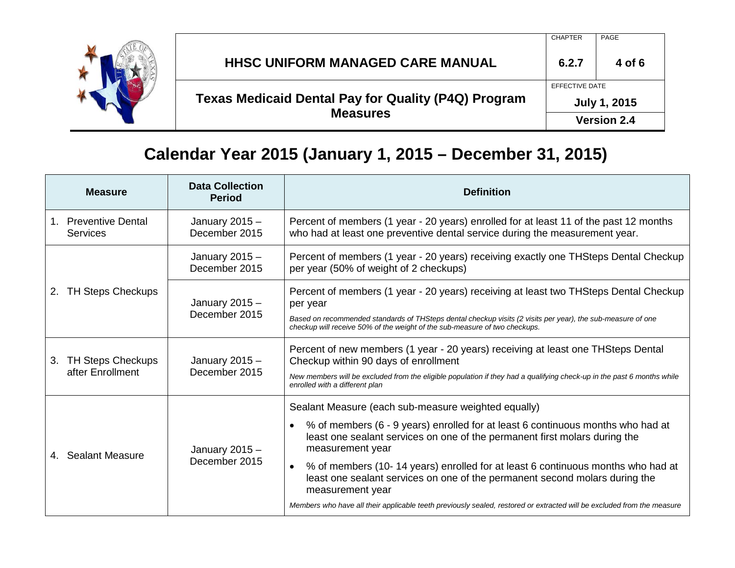

#### CHAPTER PAGE **HHSC UNIFORM MANAGED CARE MANUAL 6.2.7 4 of 6 Texas Medicaid Dental Pay for Quality (P4Q) Program Measures** EFFECTIVE DATE **July 1, 2015 Version 2.4**

## **Calendar Year 2015 (January 1, 2015 – December 31, 2015)**

| <b>Measure</b>                                     | <b>Data Collection</b><br><b>Period</b> | <b>Definition</b>                                                                                                                                                                                                                                                                             |
|----------------------------------------------------|-----------------------------------------|-----------------------------------------------------------------------------------------------------------------------------------------------------------------------------------------------------------------------------------------------------------------------------------------------|
| <b>Preventive Dental</b><br>1.<br><b>Services</b>  | January 2015 -<br>December 2015         | Percent of members (1 year - 20 years) enrolled for at least 11 of the past 12 months<br>who had at least one preventive dental service during the measurement year.                                                                                                                          |
|                                                    | January 2015 -<br>December 2015         | Percent of members (1 year - 20 years) receiving exactly one THSteps Dental Checkup<br>per year (50% of weight of 2 checkups)                                                                                                                                                                 |
| <b>TH Steps Checkups</b><br>2.                     | January $2015 -$<br>December 2015       | Percent of members (1 year - 20 years) receiving at least two THSteps Dental Checkup<br>per year<br>Based on recommended standards of THSteps dental checkup visits (2 visits per year), the sub-measure of one<br>checkup will receive 50% of the weight of the sub-measure of two checkups. |
| <b>TH Steps Checkups</b><br>3.<br>after Enrollment | January $2015 -$<br>December 2015       | Percent of new members (1 year - 20 years) receiving at least one THSteps Dental<br>Checkup within 90 days of enrollment<br>New members will be excluded from the eligible population if they had a qualifying check-up in the past 6 months while<br>enrolled with a different plan          |
|                                                    | January $2015 -$<br>December 2015       | Sealant Measure (each sub-measure weighted equally)                                                                                                                                                                                                                                           |
| 4. Sealant Measure                                 |                                         | % of members (6 - 9 years) enrolled for at least 6 continuous months who had at<br>least one sealant services on one of the permanent first molars during the<br>measurement year                                                                                                             |
|                                                    |                                         | % of members (10-14 years) enrolled for at least 6 continuous months who had at<br>$\bullet$<br>least one sealant services on one of the permanent second molars during the<br>measurement year                                                                                               |
|                                                    |                                         | Members who have all their applicable teeth previously sealed, restored or extracted will be excluded from the measure                                                                                                                                                                        |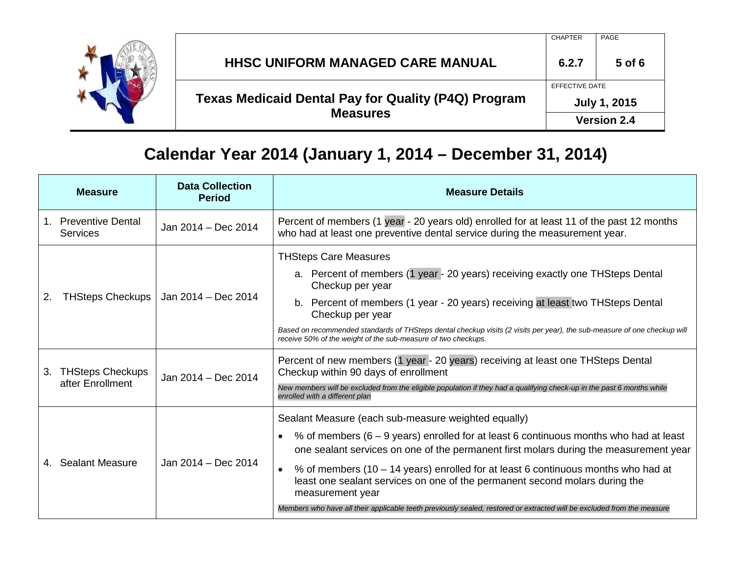

#### CHAPTER PAGE **HHSC UNIFORM MANAGED CARE MANUAL 6.2.7 5 of 6 Texas Medicaid Dental Pay for Quality (P4Q) Program Measures** EFFECTIVE DATE **July 1, 2015 Version 2.4**

## **Calendar Year 2014 (January 1, 2014 – December 31, 2014)**

|    | <b>Measure</b>                              | <b>Data Collection</b><br><b>Period</b> | <b>Measure Details</b>                                                                                                                                                                                                                                                                                                                                                                                                                                                                                                                                                              |
|----|---------------------------------------------|-----------------------------------------|-------------------------------------------------------------------------------------------------------------------------------------------------------------------------------------------------------------------------------------------------------------------------------------------------------------------------------------------------------------------------------------------------------------------------------------------------------------------------------------------------------------------------------------------------------------------------------------|
|    | 1. Preventive Dental<br><b>Services</b>     | Jan 2014 - Dec 2014                     | Percent of members (1 year - 20 years old) enrolled for at least 11 of the past 12 months<br>who had at least one preventive dental service during the measurement year.                                                                                                                                                                                                                                                                                                                                                                                                            |
| 2. | <b>THSteps Checkups</b>                     | Jan 2014 - Dec 2014                     | <b>THSteps Care Measures</b><br>a. Percent of members (1 year - 20 years) receiving exactly one THSteps Dental<br>Checkup per year<br>b. Percent of members (1 year - 20 years) receiving at least two THSteps Dental<br>Checkup per year<br>Based on recommended standards of THSteps dental checkup visits (2 visits per year), the sub-measure of one checkup will<br>receive 50% of the weight of the sub-measure of two checkups.                                                                                                                                              |
| 3. | <b>THSteps Checkups</b><br>after Enrollment | Jan 2014 - Dec 2014                     | Percent of new members (1 year - 20 years) receiving at least one THSteps Dental<br>Checkup within 90 days of enrollment<br>New members will be excluded from the eligible population if they had a qualifying check-up in the past 6 months while<br>enrolled with a different plan                                                                                                                                                                                                                                                                                                |
|    | 4. Sealant Measure                          | Jan 2014 - Dec 2014                     | Sealant Measure (each sub-measure weighted equally)<br>% of members $(6 - 9$ years) enrolled for at least 6 continuous months who had at least<br>$\bullet$<br>one sealant services on one of the permanent first molars during the measurement year<br>% of members (10 – 14 years) enrolled for at least 6 continuous months who had at<br>$\bullet$<br>least one sealant services on one of the permanent second molars during the<br>measurement year<br>Members who have all their applicable teeth previously sealed, restored or extracted will be excluded from the measure |